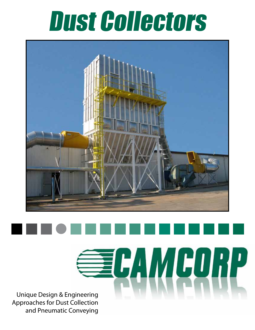## Dust Collectors



**SECAMGURP** Unique Design & Engineering Approaches for Dust Collection and Pneumatic Conveying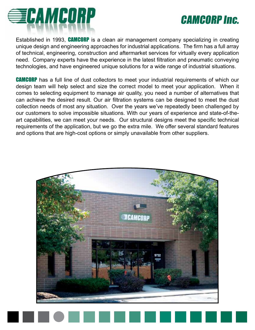## *</u>SECAMCORP*

### CAMCORP Inc.

Established in 1993, CAMCORP is a clean air management company specializing in creating unique design and engineering approaches for industrial applications. The firm has a full array of technical, engineering, construction and aftermarket services for virtually every application need. Company experts have the experience in the latest filtration and pneumatic conveying technologies, and have engineered unique solutions for a wide range of industrial situations.

**CAMCORP** has a full line of dust collectors to meet your industrial requirements of which our design team will help select and size the correct model to meet your application. When it comes to selecting equipment to manage air quality, you need a number of alternatives that can achieve the desired result. Our air filtration systems can be designed to meet the dust collection needs of most any situation. Over the years we've repeatedly been challenged by our customers to solve impossible situations. With our years of experience and state-of-theart capabilities, we can meet your needs. Our structural designs meet the specific technical requirements of the application, but we go the extra mile. We offer several standard features and options that are high-cost options or simply unavailable from other suppliers.

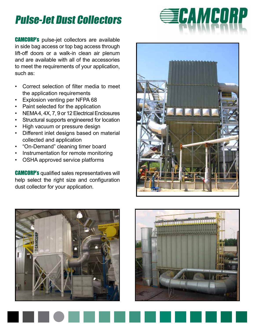### Pulse-Jet Dust Collectors

CAMCORP's pulse-jet collectors are available in side bag access or top bag access through lift-off doors or a walk-in clean air plenum and are available with all of the accessories to meet the requirements of your application, such as:

- Correct selection of filter media to meet the application requirements
- Explosion venting per NFPA 68
- Paint selected for the application
- NEMA 4, 4X, 7, 9 or 12 Electrical Enclosures
- Structural supports engineered for location
- High vacuum or pressure design
- Different inlet designs based on material collected and application
- "On-Demand" cleaning timer board
- Instrumentation for remote monitoring
- OSHA approved service platforms

CAMCORP's qualified sales representatives will help select the right size and configuration dust collector for your application.







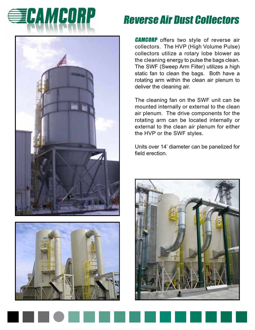# **EECAMCORP**





### Reverse Air Dust Collectors

**CAMCORP** offers two style of reverse air collectors. The HVP (High Volume Pulse) collectors utilize a rotary lobe blower as the cleaning energy to pulse the bags clean. The SWF (Sweep Arm Filter) utilizes a high static fan to clean the bags. Both have a rotating arm within the clean air plenum to deliver the cleaning air.

The cleaning fan on the SWF unit can be mounted internally or external to the clean air plenum. The drive components for the rotating arm can be located internally or external to the clean air plenum for either the HVP or the SWF styles.

Units over 14' diameter can be panelized for field erection.

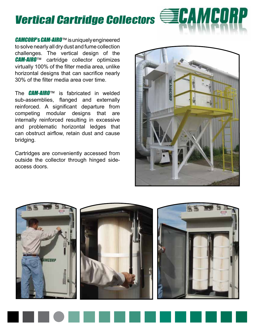### Vertical Cartridge Collectors **ELAMCORP**

CAMCORP's CAM-AIRO™ is uniquely engineered to solve nearly all dry dust and fume collection challenges. The vertical design of the CAM-AIRO™ cartridge collector optimizes virtually 100% of the filter media area, unlike horizontal designs that can sacrifice nearly 30% of the filter media area over time.

The  $\mathcal{C}$ AM-AIRO<sup>TM</sup> is fabricated in welded sub-assemblies, flanged and externally reinforced. A significant departure from competing modular designs that are internally reinforced resulting in excessive and problematic horizontal ledges that can obstruct airflow, retain dust and cause bridging.

Cartridges are conveniently accessed from outside the collector through hinged sideaccess doors.



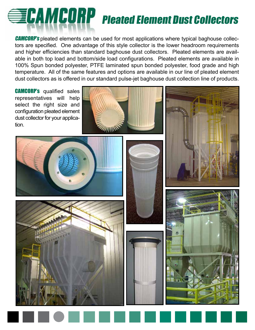# **ELAMCORP** Pleated Element Dust Collectors

**CAMCORP's** pleated elements can be used for most applications where typical baghouse collectors are specified. One advantage of this style collector is the lower headroom requirements and higher efficiencies than standard baghouse dust collectors. Pleated elements are available in both top load and bottom/side load configurations. Pleated elements are available in 100% Spun bonded polyester, PTFE laminated spun bonded polyester, food grade and high temperature. All of the same features and options are available in our line of pleated element dust collectors as is offered in our standard pulse-jet baghouse dust collection line of products.

**CAMCORP's** qualified sales representatives will help select the right size and configuration pleated element dust collector for your application.







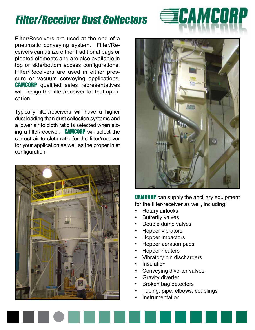### Filter/Receiver Dust Collectors

Filter/Receivers are used at the end of a pneumatic conveying system. Filter/Receivers can utilize either traditional bags or pleated elements and are also available in top or side/bottom access configurations. Filter/Receivers are used in either pressure or vacuum conveying applications. **CAMCORP** qualified sales representatives will design the filter/receiver for that application.

Typically filter/receivers will have a higher dust loading than dust collection systems and a lower air to cloth ratio is selected when sizing a filter/receiver. **CAMCORP** will select the correct air to cloth ratio for the filter/receiver for your application as well as the proper inlet configuration.





*<u></u>SECAMCORP* 

**CAMCORP** can supply the ancillary equipment for the filter/receiver as well, including:

- Rotary airlocks
- Butterfly valves
- Double dump valves
- Hopper vibrators
- Hopper impactors
- Hopper aeration pads
- Hopper heaters
- Vibratory bin dischargers
- Insulation
- Conveying diverter valves
- **Gravity diverter**
- Broken bag detectors
- Tubing, pipe, elbows, couplings
- **Instrumentation**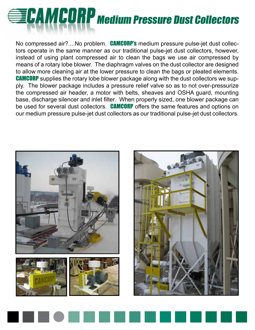# **EDAMCORP** Medium Pressure Dust Collectors

No compressed air?....No problem. CAMCORP's medium pressure pulse-jet dust collectors operate in the same manner as our traditional pulse-jet dust collectors, however, instead of using plant compressed air to clean the bags we use air compressed by means of a rotary lobe blower. The diaphragm valves on the dust collector are designed to allow more cleaning air at the lower pressure to clean the bags or pleated elements. **CAMCORP** supplies the rotary lobe blower package along with the dust collectors we supply. The blower package includes a pressure relief valve so as to not over-pressurize the compressed air header, a motor with belts, sheaves and OSHA guard, mounting base, discharge silencer and inlet filter. When properly sized, one blower package can be used for several dust collectors. CAMCORP offers the same features and options on our medium pressure pulse-jet dust collectors as our traditional pulse-jet dust collectors.



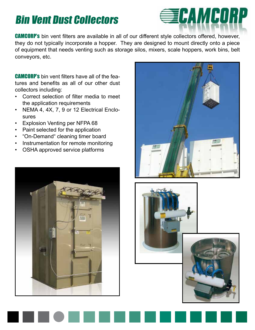### Bin Vent Dust Collectors



**CAMCORP's** bin vent filters are available in all of our different style collectors offered, however, they do not typically incorporate a hopper. They are designed to mount directly onto a piece of equipment that needs venting such as storage silos, mixers, scale hoppers, work bins, belt conveyors, etc.

CAMCORP's bin vent filters have all of the features and benefits as all of our other dust collectors including:

- Correct selection of filter media to meet the application requirements
- NEMA 4, 4X, 7, 9 or 12 Electrical Enclosures
- Explosion Venting per NFPA 68
- Paint selected for the application
- "On-Demand" cleaning timer board
- Instrumentation for remote monitoring
- OSHA approved service platforms









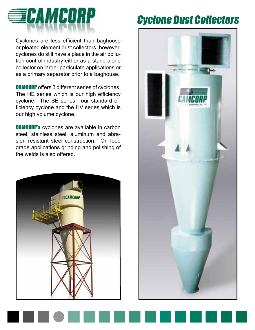

Cyclones are less efficient than baghouse or pleated element dust collectors, however, cyclones do still have a place in the air pollution control industry either as a stand alone collector on larger particulate applications or as a primary separator prior to a baghouse.

CAMCORP offers 3 different series of cyclones. The HE series which is our high efficiency cyclone. The SE series, our standard efficiency cyclone and the HV series which is our high volume cyclone.

CAMCORP's cyclones are available in carbon steel, stainless steel, aluminum and abrasion resistant steel construction. On food grade applications grinding and polishing of the welds is also offered.



### Cyclone Dust Collectors

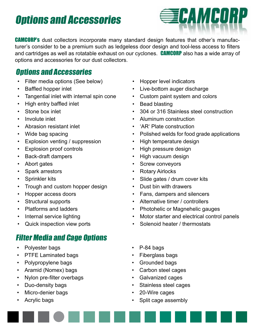### Options and Accessories



**CAMCORP's** dust collectors incorporate many standard design features that other's manufacturer's consider to be a premium such as ledgeless door design and tool-less access to filters and cartridges as well as rotatable exhaust on our cyclones. CAMCORP also has a wide array of options and accessories for our dust collectors.

#### Options and Accessories

- Filter media options (See below)
- Baffled hopper inlet
- Tangential inlet with internal spin cone
- High entry baffled inlet
- Stone box inlet
- Involute inlet
- Abrasion resistant inlet
- Wide bag spacing
- Explosion venting / suppression
- Explosion proof controls
- Back-draft dampers
- Abort gates
- Spark arrestors
- Sprinkler kits
- Trough and custom hopper design
- Hopper access doors
- Structural supports
- Platforms and ladders
- Internal service lighting
- Quick inspection view ports

#### Filter Media and Cage Options

- Polyester bags
- PTFE Laminated bags
- Polypropylene bags
- Aramid (Nomex) bags
- Nylon pre-filter overbags
- Duo-density bags
- Micro-denier bags
- Acrylic bags
- Hopper level indicators
- Live-bottom auger discharge
- Custom paint system and colors
- Bead blasting
- 304 or 316 Stainless steel construction
- Aluminum construction
- 'AR' Plate construction
- Polished welds for food grade applications
- High temperature design
- High pressure design
- High vacuum design
- Screw conveyors
- Rotary Airlocks
- Slide gates / drum cover kits
- Dust bin with drawers
- Fans, dampers and silencers
- Alternative timer / controllers
- Photohelic or Magnehelic gauges
- Motor starter and electrical control panels
- Solenoid heater / thermostats
- P-84 bags
- Fiberglass bags
- Grounded bags
- Carbon steel cages
- Galvanized cages
- Stainless steel cages
- 20-Wire cages
- Split cage assembly